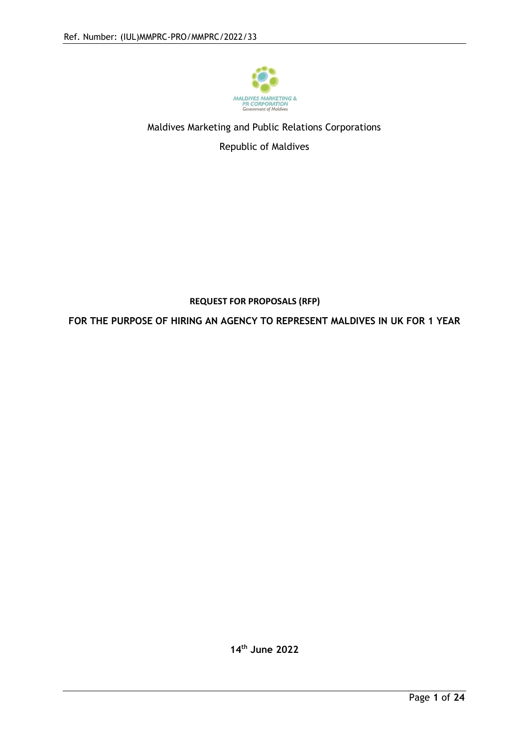

## Maldives Marketing and Public Relations Corporations

Republic of Maldives

## **REQUEST FOR PROPOSALS (RFP)**

**FOR THE PURPOSE OF HIRING AN AGENCY TO REPRESENT MALDIVES IN UK FOR 1 YEAR**

**14th June 2022**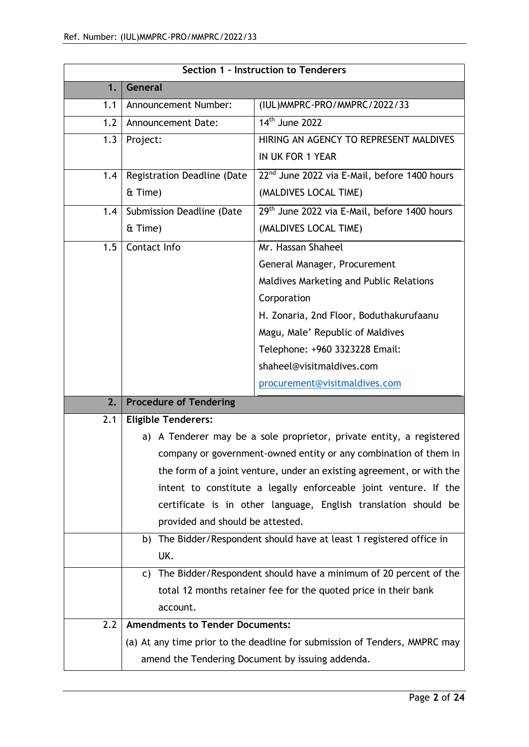| General<br>1.<br>Announcement Number:<br>(IUL) MMPRC-PRO/MMPRC/2022/33<br>1.1<br>14 <sup>th</sup> June 2022<br>1.2<br>Announcement Date:<br>HIRING AN AGENCY TO REPRESENT MALDIVES<br>1.3<br>Project:<br>IN UK FOR 1 YEAR<br>22 <sup>nd</sup> June 2022 via E-Mail, before 1400 hours<br>Registration Deadline (Date<br>1.4<br>(MALDIVES LOCAL TIME)<br>& Time)<br>29th June 2022 via E-Mail, before 1400 hours<br>Submission Deadline (Date<br>1.4<br>(MALDIVES LOCAL TIME)<br>& Time)<br>1.5<br>Mr. Hassan Shaheel<br>Contact Info<br>General Manager, Procurement<br>Maldives Marketing and Public Relations<br>Corporation<br>H. Zonaria, 2nd Floor, Boduthakurufaanu<br>Magu, Male' Republic of Maldives<br>Telephone: +960 3323228 Email:<br>shaheel@visitmaldives.com<br>procurement@visitmaldives.com<br><b>Procedure of Tendering</b><br>2.<br><b>Eligible Tenderers:</b><br>2.1<br>a) A Tenderer may be a sole proprietor, private entity, a registered<br>company or government-owned entity or any combination of them in<br>the form of a joint venture, under an existing agreement, or with the<br>intent to constitute a legally enforceable joint venture. If the<br>certificate is in other language, English translation should be<br>provided and should be attested.<br>b) The Bidder/Respondent should have at least 1 registered office in<br>UK.<br>The Bidder/Respondent should have a minimum of 20 percent of the<br>C)<br>total 12 months retainer fee for the quoted price in their bank<br>account.<br>2.2<br><b>Amendments to Tender Documents:</b><br>(a) At any time prior to the deadline for submission of Tenders, MMPRC may<br>amend the Tendering Document by issuing addenda. | Section 1 - Instruction to Tenderers |  |  |  |
|----------------------------------------------------------------------------------------------------------------------------------------------------------------------------------------------------------------------------------------------------------------------------------------------------------------------------------------------------------------------------------------------------------------------------------------------------------------------------------------------------------------------------------------------------------------------------------------------------------------------------------------------------------------------------------------------------------------------------------------------------------------------------------------------------------------------------------------------------------------------------------------------------------------------------------------------------------------------------------------------------------------------------------------------------------------------------------------------------------------------------------------------------------------------------------------------------------------------------------------------------------------------------------------------------------------------------------------------------------------------------------------------------------------------------------------------------------------------------------------------------------------------------------------------------------------------------------------------------------------------------------------------------------------------------------------------------------------------|--------------------------------------|--|--|--|
|                                                                                                                                                                                                                                                                                                                                                                                                                                                                                                                                                                                                                                                                                                                                                                                                                                                                                                                                                                                                                                                                                                                                                                                                                                                                                                                                                                                                                                                                                                                                                                                                                                                                                                                      |                                      |  |  |  |
|                                                                                                                                                                                                                                                                                                                                                                                                                                                                                                                                                                                                                                                                                                                                                                                                                                                                                                                                                                                                                                                                                                                                                                                                                                                                                                                                                                                                                                                                                                                                                                                                                                                                                                                      |                                      |  |  |  |
|                                                                                                                                                                                                                                                                                                                                                                                                                                                                                                                                                                                                                                                                                                                                                                                                                                                                                                                                                                                                                                                                                                                                                                                                                                                                                                                                                                                                                                                                                                                                                                                                                                                                                                                      |                                      |  |  |  |
|                                                                                                                                                                                                                                                                                                                                                                                                                                                                                                                                                                                                                                                                                                                                                                                                                                                                                                                                                                                                                                                                                                                                                                                                                                                                                                                                                                                                                                                                                                                                                                                                                                                                                                                      |                                      |  |  |  |
|                                                                                                                                                                                                                                                                                                                                                                                                                                                                                                                                                                                                                                                                                                                                                                                                                                                                                                                                                                                                                                                                                                                                                                                                                                                                                                                                                                                                                                                                                                                                                                                                                                                                                                                      |                                      |  |  |  |
|                                                                                                                                                                                                                                                                                                                                                                                                                                                                                                                                                                                                                                                                                                                                                                                                                                                                                                                                                                                                                                                                                                                                                                                                                                                                                                                                                                                                                                                                                                                                                                                                                                                                                                                      |                                      |  |  |  |
|                                                                                                                                                                                                                                                                                                                                                                                                                                                                                                                                                                                                                                                                                                                                                                                                                                                                                                                                                                                                                                                                                                                                                                                                                                                                                                                                                                                                                                                                                                                                                                                                                                                                                                                      |                                      |  |  |  |
|                                                                                                                                                                                                                                                                                                                                                                                                                                                                                                                                                                                                                                                                                                                                                                                                                                                                                                                                                                                                                                                                                                                                                                                                                                                                                                                                                                                                                                                                                                                                                                                                                                                                                                                      |                                      |  |  |  |
|                                                                                                                                                                                                                                                                                                                                                                                                                                                                                                                                                                                                                                                                                                                                                                                                                                                                                                                                                                                                                                                                                                                                                                                                                                                                                                                                                                                                                                                                                                                                                                                                                                                                                                                      |                                      |  |  |  |
|                                                                                                                                                                                                                                                                                                                                                                                                                                                                                                                                                                                                                                                                                                                                                                                                                                                                                                                                                                                                                                                                                                                                                                                                                                                                                                                                                                                                                                                                                                                                                                                                                                                                                                                      |                                      |  |  |  |
|                                                                                                                                                                                                                                                                                                                                                                                                                                                                                                                                                                                                                                                                                                                                                                                                                                                                                                                                                                                                                                                                                                                                                                                                                                                                                                                                                                                                                                                                                                                                                                                                                                                                                                                      |                                      |  |  |  |
|                                                                                                                                                                                                                                                                                                                                                                                                                                                                                                                                                                                                                                                                                                                                                                                                                                                                                                                                                                                                                                                                                                                                                                                                                                                                                                                                                                                                                                                                                                                                                                                                                                                                                                                      |                                      |  |  |  |
|                                                                                                                                                                                                                                                                                                                                                                                                                                                                                                                                                                                                                                                                                                                                                                                                                                                                                                                                                                                                                                                                                                                                                                                                                                                                                                                                                                                                                                                                                                                                                                                                                                                                                                                      |                                      |  |  |  |
|                                                                                                                                                                                                                                                                                                                                                                                                                                                                                                                                                                                                                                                                                                                                                                                                                                                                                                                                                                                                                                                                                                                                                                                                                                                                                                                                                                                                                                                                                                                                                                                                                                                                                                                      |                                      |  |  |  |
|                                                                                                                                                                                                                                                                                                                                                                                                                                                                                                                                                                                                                                                                                                                                                                                                                                                                                                                                                                                                                                                                                                                                                                                                                                                                                                                                                                                                                                                                                                                                                                                                                                                                                                                      |                                      |  |  |  |
|                                                                                                                                                                                                                                                                                                                                                                                                                                                                                                                                                                                                                                                                                                                                                                                                                                                                                                                                                                                                                                                                                                                                                                                                                                                                                                                                                                                                                                                                                                                                                                                                                                                                                                                      |                                      |  |  |  |
|                                                                                                                                                                                                                                                                                                                                                                                                                                                                                                                                                                                                                                                                                                                                                                                                                                                                                                                                                                                                                                                                                                                                                                                                                                                                                                                                                                                                                                                                                                                                                                                                                                                                                                                      |                                      |  |  |  |
|                                                                                                                                                                                                                                                                                                                                                                                                                                                                                                                                                                                                                                                                                                                                                                                                                                                                                                                                                                                                                                                                                                                                                                                                                                                                                                                                                                                                                                                                                                                                                                                                                                                                                                                      |                                      |  |  |  |
|                                                                                                                                                                                                                                                                                                                                                                                                                                                                                                                                                                                                                                                                                                                                                                                                                                                                                                                                                                                                                                                                                                                                                                                                                                                                                                                                                                                                                                                                                                                                                                                                                                                                                                                      |                                      |  |  |  |
|                                                                                                                                                                                                                                                                                                                                                                                                                                                                                                                                                                                                                                                                                                                                                                                                                                                                                                                                                                                                                                                                                                                                                                                                                                                                                                                                                                                                                                                                                                                                                                                                                                                                                                                      |                                      |  |  |  |
|                                                                                                                                                                                                                                                                                                                                                                                                                                                                                                                                                                                                                                                                                                                                                                                                                                                                                                                                                                                                                                                                                                                                                                                                                                                                                                                                                                                                                                                                                                                                                                                                                                                                                                                      |                                      |  |  |  |
|                                                                                                                                                                                                                                                                                                                                                                                                                                                                                                                                                                                                                                                                                                                                                                                                                                                                                                                                                                                                                                                                                                                                                                                                                                                                                                                                                                                                                                                                                                                                                                                                                                                                                                                      |                                      |  |  |  |
|                                                                                                                                                                                                                                                                                                                                                                                                                                                                                                                                                                                                                                                                                                                                                                                                                                                                                                                                                                                                                                                                                                                                                                                                                                                                                                                                                                                                                                                                                                                                                                                                                                                                                                                      |                                      |  |  |  |
|                                                                                                                                                                                                                                                                                                                                                                                                                                                                                                                                                                                                                                                                                                                                                                                                                                                                                                                                                                                                                                                                                                                                                                                                                                                                                                                                                                                                                                                                                                                                                                                                                                                                                                                      |                                      |  |  |  |
|                                                                                                                                                                                                                                                                                                                                                                                                                                                                                                                                                                                                                                                                                                                                                                                                                                                                                                                                                                                                                                                                                                                                                                                                                                                                                                                                                                                                                                                                                                                                                                                                                                                                                                                      |                                      |  |  |  |
|                                                                                                                                                                                                                                                                                                                                                                                                                                                                                                                                                                                                                                                                                                                                                                                                                                                                                                                                                                                                                                                                                                                                                                                                                                                                                                                                                                                                                                                                                                                                                                                                                                                                                                                      |                                      |  |  |  |
|                                                                                                                                                                                                                                                                                                                                                                                                                                                                                                                                                                                                                                                                                                                                                                                                                                                                                                                                                                                                                                                                                                                                                                                                                                                                                                                                                                                                                                                                                                                                                                                                                                                                                                                      |                                      |  |  |  |
|                                                                                                                                                                                                                                                                                                                                                                                                                                                                                                                                                                                                                                                                                                                                                                                                                                                                                                                                                                                                                                                                                                                                                                                                                                                                                                                                                                                                                                                                                                                                                                                                                                                                                                                      |                                      |  |  |  |
|                                                                                                                                                                                                                                                                                                                                                                                                                                                                                                                                                                                                                                                                                                                                                                                                                                                                                                                                                                                                                                                                                                                                                                                                                                                                                                                                                                                                                                                                                                                                                                                                                                                                                                                      |                                      |  |  |  |
|                                                                                                                                                                                                                                                                                                                                                                                                                                                                                                                                                                                                                                                                                                                                                                                                                                                                                                                                                                                                                                                                                                                                                                                                                                                                                                                                                                                                                                                                                                                                                                                                                                                                                                                      |                                      |  |  |  |
|                                                                                                                                                                                                                                                                                                                                                                                                                                                                                                                                                                                                                                                                                                                                                                                                                                                                                                                                                                                                                                                                                                                                                                                                                                                                                                                                                                                                                                                                                                                                                                                                                                                                                                                      |                                      |  |  |  |
|                                                                                                                                                                                                                                                                                                                                                                                                                                                                                                                                                                                                                                                                                                                                                                                                                                                                                                                                                                                                                                                                                                                                                                                                                                                                                                                                                                                                                                                                                                                                                                                                                                                                                                                      |                                      |  |  |  |
|                                                                                                                                                                                                                                                                                                                                                                                                                                                                                                                                                                                                                                                                                                                                                                                                                                                                                                                                                                                                                                                                                                                                                                                                                                                                                                                                                                                                                                                                                                                                                                                                                                                                                                                      |                                      |  |  |  |
|                                                                                                                                                                                                                                                                                                                                                                                                                                                                                                                                                                                                                                                                                                                                                                                                                                                                                                                                                                                                                                                                                                                                                                                                                                                                                                                                                                                                                                                                                                                                                                                                                                                                                                                      |                                      |  |  |  |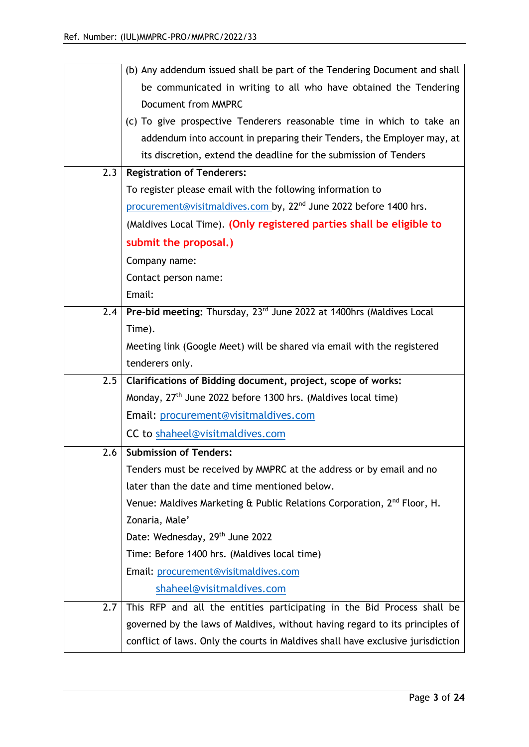|     | (b) Any addendum issued shall be part of the Tendering Document and shall           |
|-----|-------------------------------------------------------------------------------------|
|     | be communicated in writing to all who have obtained the Tendering                   |
|     | Document from MMPRC                                                                 |
|     | (c) To give prospective Tenderers reasonable time in which to take an               |
|     | addendum into account in preparing their Tenders, the Employer may, at              |
|     | its discretion, extend the deadline for the submission of Tenders                   |
| 2.3 | <b>Registration of Tenderers:</b>                                                   |
|     | To register please email with the following information to                          |
|     | procurement@visitmaldives.com by, 22 <sup>nd</sup> June 2022 before 1400 hrs.       |
|     | (Maldives Local Time). (Only registered parties shall be eligible to                |
|     | submit the proposal.)                                                               |
|     | Company name:                                                                       |
|     | Contact person name:                                                                |
|     | Email:                                                                              |
| 2.4 | Pre-bid meeting: Thursday, 23rd June 2022 at 1400hrs (Maldives Local                |
|     | Time).                                                                              |
|     | Meeting link (Google Meet) will be shared via email with the registered             |
|     | tenderers only.                                                                     |
| 2.5 | Clarifications of Bidding document, project, scope of works:                        |
|     | Monday, 27 <sup>th</sup> June 2022 before 1300 hrs. (Maldives local time)           |
|     | Email: procurement@visitmaldives.com                                                |
|     | CC to shaheel@visitmaldives.com                                                     |
| 2.6 | <b>Submission of Tenders:</b>                                                       |
|     | Tenders must be received by MMPRC at the address or by email and no                 |
|     | later than the date and time mentioned below.                                       |
|     | Venue: Maldives Marketing & Public Relations Corporation, 2 <sup>nd</sup> Floor, H. |
|     | Zonaria, Male'                                                                      |
|     | Date: Wednesday, 29th June 2022                                                     |
|     | Time: Before 1400 hrs. (Maldives local time)                                        |
|     | Email: procurement@visitmaldives.com                                                |
|     | shaheel@visitmaldives.com                                                           |
| 2.7 | This RFP and all the entities participating in the Bid Process shall be             |
|     | governed by the laws of Maldives, without having regard to its principles of        |
|     | conflict of laws. Only the courts in Maldives shall have exclusive jurisdiction     |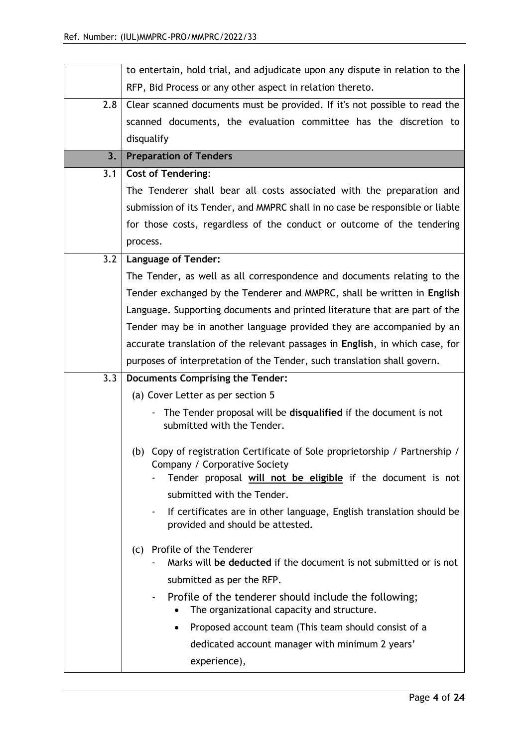|     | to entertain, hold trial, and adjudicate upon any dispute in relation to the                                  |  |
|-----|---------------------------------------------------------------------------------------------------------------|--|
|     | RFP, Bid Process or any other aspect in relation thereto.                                                     |  |
| 2.8 | Clear scanned documents must be provided. If it's not possible to read the                                    |  |
|     | scanned documents, the evaluation committee has the discretion to                                             |  |
|     | disqualify                                                                                                    |  |
| 3.  | <b>Preparation of Tenders</b>                                                                                 |  |
| 3.1 | <b>Cost of Tendering:</b>                                                                                     |  |
|     | The Tenderer shall bear all costs associated with the preparation and                                         |  |
|     | submission of its Tender, and MMPRC shall in no case be responsible or liable                                 |  |
|     | for those costs, regardless of the conduct or outcome of the tendering                                        |  |
|     | process.                                                                                                      |  |
| 3.2 | <b>Language of Tender:</b>                                                                                    |  |
|     | The Tender, as well as all correspondence and documents relating to the                                       |  |
|     | Tender exchanged by the Tenderer and MMPRC, shall be written in English                                       |  |
|     | Language. Supporting documents and printed literature that are part of the                                    |  |
|     | Tender may be in another language provided they are accompanied by an                                         |  |
|     | accurate translation of the relevant passages in English, in which case, for                                  |  |
|     | purposes of interpretation of the Tender, such translation shall govern.                                      |  |
| 3.3 | Documents Comprising the Tender:                                                                              |  |
|     | (a) Cover Letter as per section 5                                                                             |  |
|     | The Tender proposal will be disqualified if the document is not<br>submitted with the Tender.                 |  |
|     |                                                                                                               |  |
|     | (b) Copy of registration Certificate of Sole proprietorship / Partnership /<br>Company / Corporative Society  |  |
|     | Tender proposal will not be eligible if the document is not                                                   |  |
|     | submitted with the Tender.                                                                                    |  |
|     | If certificates are in other language, English translation should be<br>٠<br>provided and should be attested. |  |
|     | Profile of the Tenderer<br>(c)<br>Marks will be deducted if the document is not submitted or is not           |  |
|     |                                                                                                               |  |
|     |                                                                                                               |  |
|     | submitted as per the RFP.<br>Profile of the tenderer should include the following;                            |  |
|     | The organizational capacity and structure.<br>٠                                                               |  |
|     | Proposed account team (This team should consist of a<br>dedicated account manager with minimum 2 years'       |  |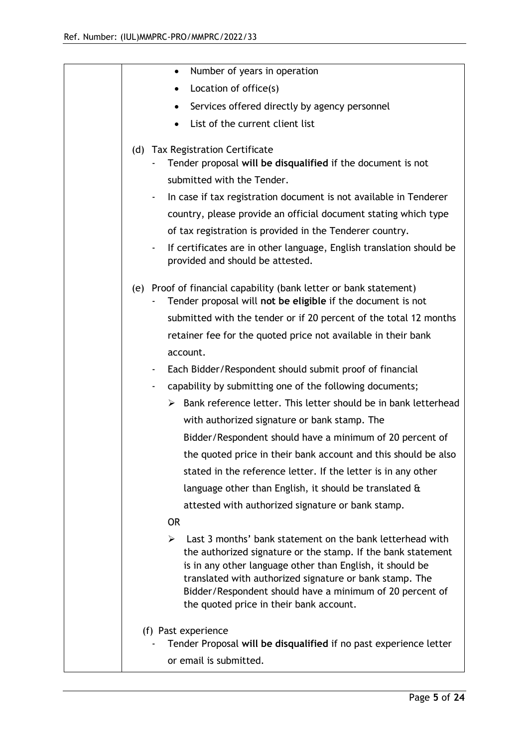| Number of years in operation<br>$\bullet$                                                                                                                                                                                                                                                                                                                     |
|---------------------------------------------------------------------------------------------------------------------------------------------------------------------------------------------------------------------------------------------------------------------------------------------------------------------------------------------------------------|
| Location of office(s)                                                                                                                                                                                                                                                                                                                                         |
| Services offered directly by agency personnel                                                                                                                                                                                                                                                                                                                 |
| List of the current client list                                                                                                                                                                                                                                                                                                                               |
| (d) Tax Registration Certificate<br>Tender proposal will be disqualified if the document is not                                                                                                                                                                                                                                                               |
| submitted with the Tender.                                                                                                                                                                                                                                                                                                                                    |
| In case if tax registration document is not available in Tenderer                                                                                                                                                                                                                                                                                             |
| country, please provide an official document stating which type                                                                                                                                                                                                                                                                                               |
| of tax registration is provided in the Tenderer country.                                                                                                                                                                                                                                                                                                      |
| If certificates are in other language, English translation should be<br>۰<br>provided and should be attested.                                                                                                                                                                                                                                                 |
| (e) Proof of financial capability (bank letter or bank statement)<br>Tender proposal will not be eligible if the document is not                                                                                                                                                                                                                              |
| submitted with the tender or if 20 percent of the total 12 months                                                                                                                                                                                                                                                                                             |
| retainer fee for the quoted price not available in their bank                                                                                                                                                                                                                                                                                                 |
| account.                                                                                                                                                                                                                                                                                                                                                      |
| Each Bidder/Respondent should submit proof of financial<br>٠                                                                                                                                                                                                                                                                                                  |
| capability by submitting one of the following documents;<br>٠                                                                                                                                                                                                                                                                                                 |
| $\triangleright$ Bank reference letter. This letter should be in bank letterhead                                                                                                                                                                                                                                                                              |
| with authorized signature or bank stamp. The                                                                                                                                                                                                                                                                                                                  |
| Bidder/Respondent should have a minimum of 20 percent of                                                                                                                                                                                                                                                                                                      |
| the quoted price in their bank account and this should be also                                                                                                                                                                                                                                                                                                |
| stated in the reference letter. If the letter is in any other                                                                                                                                                                                                                                                                                                 |
| language other than English, it should be translated $\alpha$                                                                                                                                                                                                                                                                                                 |
| attested with authorized signature or bank stamp.                                                                                                                                                                                                                                                                                                             |
| <b>OR</b>                                                                                                                                                                                                                                                                                                                                                     |
| Last 3 months' bank statement on the bank letterhead with<br>➤<br>the authorized signature or the stamp. If the bank statement<br>is in any other language other than English, it should be<br>translated with authorized signature or bank stamp. The<br>Bidder/Respondent should have a minimum of 20 percent of<br>the quoted price in their bank account. |
| (f) Past experience                                                                                                                                                                                                                                                                                                                                           |
| Tender Proposal will be disqualified if no past experience letter                                                                                                                                                                                                                                                                                             |
| or email is submitted.                                                                                                                                                                                                                                                                                                                                        |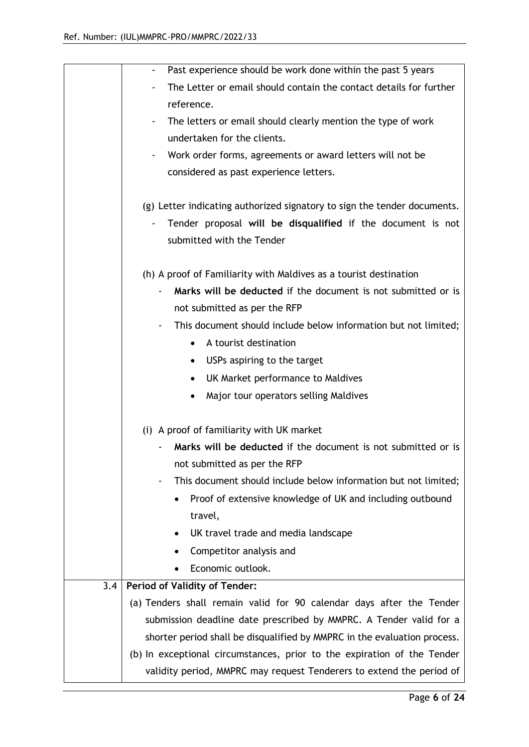|     | Past experience should be work done within the past 5 years              |  |
|-----|--------------------------------------------------------------------------|--|
|     | The Letter or email should contain the contact details for further       |  |
|     | reference.                                                               |  |
|     | The letters or email should clearly mention the type of work             |  |
|     | undertaken for the clients.                                              |  |
|     | Work order forms, agreements or award letters will not be                |  |
|     | considered as past experience letters.                                   |  |
|     | (g) Letter indicating authorized signatory to sign the tender documents. |  |
|     | Tender proposal will be disqualified if the document is not              |  |
|     | submitted with the Tender                                                |  |
|     |                                                                          |  |
|     | (h) A proof of Familiarity with Maldives as a tourist destination        |  |
|     | Marks will be deducted if the document is not submitted or is            |  |
|     | not submitted as per the RFP                                             |  |
|     | This document should include below information but not limited;          |  |
|     | A tourist destination<br>$\bullet$                                       |  |
|     | USPs aspiring to the target<br>$\bullet$                                 |  |
|     | UK Market performance to Maldives                                        |  |
|     | Major tour operators selling Maldives                                    |  |
|     | (i) A proof of familiarity with UK market                                |  |
|     | Marks will be deducted if the document is not submitted or is            |  |
|     | not submitted as per the RFP                                             |  |
|     | This document should include below information but not limited;          |  |
|     | Proof of extensive knowledge of UK and including outbound                |  |
|     | travel,                                                                  |  |
|     | UK travel trade and media landscape                                      |  |
|     | Competitor analysis and                                                  |  |
|     | Economic outlook.                                                        |  |
| 3.4 | <b>Period of Validity of Tender:</b>                                     |  |
|     | (a) Tenders shall remain valid for 90 calendar days after the Tender     |  |
|     | submission deadline date prescribed by MMPRC. A Tender valid for a       |  |
|     | shorter period shall be disqualified by MMPRC in the evaluation process. |  |
|     | (b) In exceptional circumstances, prior to the expiration of the Tender  |  |
|     | validity period, MMPRC may request Tenderers to extend the period of     |  |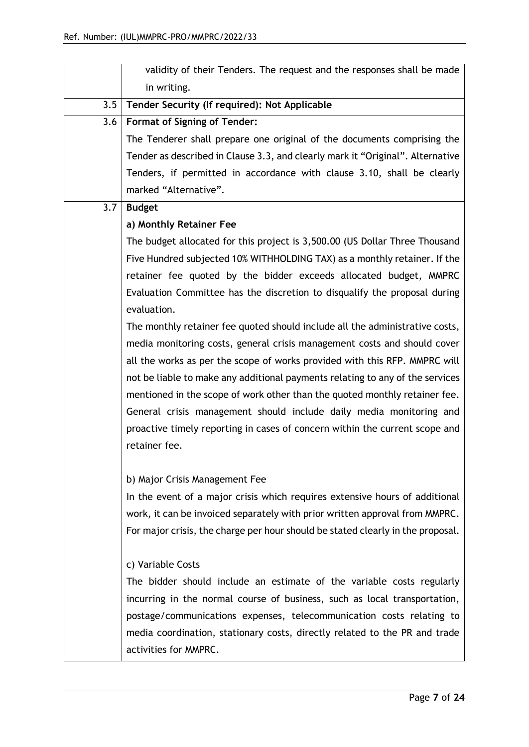|     | validity of their Tenders. The request and the responses shall be made          |
|-----|---------------------------------------------------------------------------------|
|     | in writing.                                                                     |
| 3.5 | Tender Security (If required): Not Applicable                                   |
| 3.6 | <b>Format of Signing of Tender:</b>                                             |
|     | The Tenderer shall prepare one original of the documents comprising the         |
|     | Tender as described in Clause 3.3, and clearly mark it "Original". Alternative  |
|     | Tenders, if permitted in accordance with clause 3.10, shall be clearly          |
|     | marked "Alternative".                                                           |
| 3.7 | <b>Budget</b>                                                                   |
|     | a) Monthly Retainer Fee                                                         |
|     | The budget allocated for this project is 3,500.00 (US Dollar Three Thousand     |
|     | Five Hundred subjected 10% WITHHOLDING TAX) as a monthly retainer. If the       |
|     | retainer fee quoted by the bidder exceeds allocated budget, MMPRC               |
|     | Evaluation Committee has the discretion to disqualify the proposal during       |
|     | evaluation.                                                                     |
|     | The monthly retainer fee quoted should include all the administrative costs,    |
|     | media monitoring costs, general crisis management costs and should cover        |
|     | all the works as per the scope of works provided with this RFP. MMPRC will      |
|     | not be liable to make any additional payments relating to any of the services   |
|     | mentioned in the scope of work other than the quoted monthly retainer fee.      |
|     | General crisis management should include daily media monitoring and             |
|     | proactive timely reporting in cases of concern within the current scope and     |
|     | retainer fee.                                                                   |
|     |                                                                                 |
|     | b) Major Crisis Management Fee                                                  |
|     | In the event of a major crisis which requires extensive hours of additional     |
|     | work, it can be invoiced separately with prior written approval from MMPRC.     |
|     | For major crisis, the charge per hour should be stated clearly in the proposal. |
|     | c) Variable Costs                                                               |
|     | The bidder should include an estimate of the variable costs regularly           |
|     | incurring in the normal course of business, such as local transportation,       |
|     | postage/communications expenses, telecommunication costs relating to            |
|     | media coordination, stationary costs, directly related to the PR and trade      |
|     | activities for MMPRC.                                                           |
|     |                                                                                 |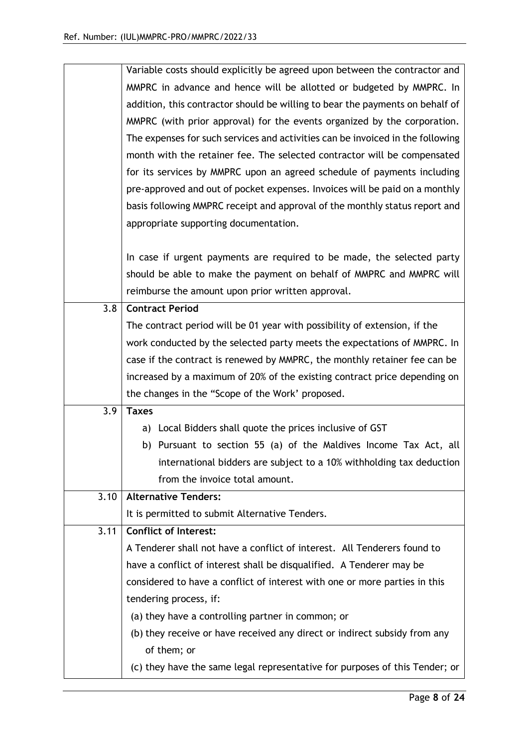|      | Variable costs should explicitly be agreed upon between the contractor and     |
|------|--------------------------------------------------------------------------------|
|      | MMPRC in advance and hence will be allotted or budgeted by MMPRC. In           |
|      | addition, this contractor should be willing to bear the payments on behalf of  |
|      | MMPRC (with prior approval) for the events organized by the corporation.       |
|      | The expenses for such services and activities can be invoiced in the following |
|      | month with the retainer fee. The selected contractor will be compensated       |
|      | for its services by MMPRC upon an agreed schedule of payments including        |
|      | pre-approved and out of pocket expenses. Invoices will be paid on a monthly    |
|      | basis following MMPRC receipt and approval of the monthly status report and    |
|      | appropriate supporting documentation.                                          |
|      |                                                                                |
|      | In case if urgent payments are required to be made, the selected party         |
|      | should be able to make the payment on behalf of MMPRC and MMPRC will           |
|      | reimburse the amount upon prior written approval.                              |
| 3.8  | <b>Contract Period</b>                                                         |
|      | The contract period will be 01 year with possibility of extension, if the      |
|      | work conducted by the selected party meets the expectations of MMPRC. In       |
|      | case if the contract is renewed by MMPRC, the monthly retainer fee can be      |
|      | increased by a maximum of 20% of the existing contract price depending on      |
|      | the changes in the "Scope of the Work' proposed.                               |
| 3.9  | <b>Taxes</b>                                                                   |
|      | a) Local Bidders shall quote the prices inclusive of GST                       |
|      | b) Pursuant to section 55 (a) of the Maldives Income Tax Act, all              |
|      | international bidders are subject to a 10% withholding tax deduction           |
|      | from the invoice total amount.                                                 |
| 3.10 | <b>Alternative Tenders:</b>                                                    |
|      | It is permitted to submit Alternative Tenders.                                 |
| 3.11 | Conflict of Interest:                                                          |
|      | A Tenderer shall not have a conflict of interest. All Tenderers found to       |
|      | have a conflict of interest shall be disqualified. A Tenderer may be           |
|      | considered to have a conflict of interest with one or more parties in this     |
|      | tendering process, if:                                                         |
|      | (a) they have a controlling partner in common; or                              |
|      | (b) they receive or have received any direct or indirect subsidy from any      |
|      | of them; or                                                                    |
|      | (c) they have the same legal representative for purposes of this Tender; or    |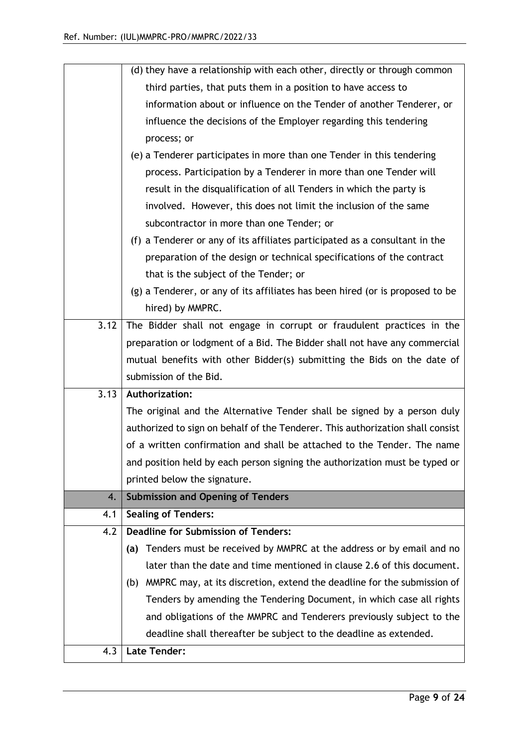|      | (d) they have a relationship with each other, directly or through common       |  |  |
|------|--------------------------------------------------------------------------------|--|--|
|      | third parties, that puts them in a position to have access to                  |  |  |
|      | information about or influence on the Tender of another Tenderer, or           |  |  |
|      | influence the decisions of the Employer regarding this tendering               |  |  |
|      | process; or                                                                    |  |  |
|      | (e) a Tenderer participates in more than one Tender in this tendering          |  |  |
|      | process. Participation by a Tenderer in more than one Tender will              |  |  |
|      | result in the disqualification of all Tenders in which the party is            |  |  |
|      | involved. However, this does not limit the inclusion of the same               |  |  |
|      | subcontractor in more than one Tender; or                                      |  |  |
|      | (f) a Tenderer or any of its affiliates participated as a consultant in the    |  |  |
|      | preparation of the design or technical specifications of the contract          |  |  |
|      | that is the subject of the Tender; or                                          |  |  |
|      | (g) a Tenderer, or any of its affiliates has been hired (or is proposed to be  |  |  |
|      | hired) by MMPRC.                                                               |  |  |
| 3.12 | The Bidder shall not engage in corrupt or fraudulent practices in the          |  |  |
|      | preparation or lodgment of a Bid. The Bidder shall not have any commercial     |  |  |
|      | mutual benefits with other Bidder(s) submitting the Bids on the date of        |  |  |
|      | submission of the Bid.                                                         |  |  |
| 3.13 | Authorization:                                                                 |  |  |
|      | The original and the Alternative Tender shall be signed by a person duly       |  |  |
|      | authorized to sign on behalf of the Tenderer. This authorization shall consist |  |  |
|      | of a written confirmation and shall be attached to the Tender. The name        |  |  |
|      | and position held by each person signing the authorization must be typed or    |  |  |
|      | printed below the signature.                                                   |  |  |
| 4.   | <b>Submission and Opening of Tenders</b>                                       |  |  |
| 4.1  | <b>Sealing of Tenders:</b>                                                     |  |  |
| 4.2  | <b>Deadline for Submission of Tenders:</b>                                     |  |  |
|      | Tenders must be received by MMPRC at the address or by email and no<br>(a)     |  |  |
|      |                                                                                |  |  |
|      | later than the date and time mentioned in clause 2.6 of this document.         |  |  |
|      | (b) MMPRC may, at its discretion, extend the deadline for the submission of    |  |  |
|      | Tenders by amending the Tendering Document, in which case all rights           |  |  |
|      | and obligations of the MMPRC and Tenderers previously subject to the           |  |  |
|      | deadline shall thereafter be subject to the deadline as extended.              |  |  |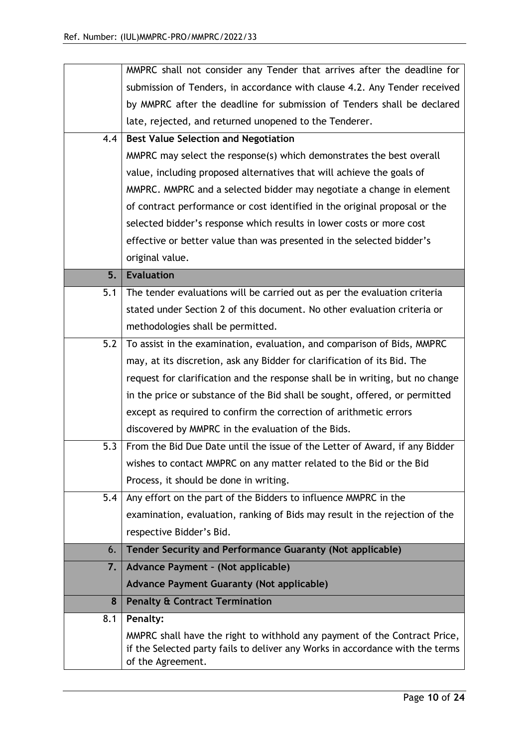|     | MMPRC shall not consider any Tender that arrives after the deadline for                                                                                    |
|-----|------------------------------------------------------------------------------------------------------------------------------------------------------------|
|     | submission of Tenders, in accordance with clause 4.2. Any Tender received                                                                                  |
|     | by MMPRC after the deadline for submission of Tenders shall be declared                                                                                    |
|     | late, rejected, and returned unopened to the Tenderer.                                                                                                     |
| 4.4 | <b>Best Value Selection and Negotiation</b>                                                                                                                |
|     | MMPRC may select the response(s) which demonstrates the best overall                                                                                       |
|     | value, including proposed alternatives that will achieve the goals of                                                                                      |
|     | MMPRC. MMPRC and a selected bidder may negotiate a change in element                                                                                       |
|     | of contract performance or cost identified in the original proposal or the                                                                                 |
|     | selected bidder's response which results in lower costs or more cost                                                                                       |
|     | effective or better value than was presented in the selected bidder's                                                                                      |
|     | original value.                                                                                                                                            |
| 5.  | <b>Evaluation</b>                                                                                                                                          |
| 5.1 | The tender evaluations will be carried out as per the evaluation criteria                                                                                  |
|     | stated under Section 2 of this document. No other evaluation criteria or                                                                                   |
|     | methodologies shall be permitted.                                                                                                                          |
| 5.2 | To assist in the examination, evaluation, and comparison of Bids, MMPRC                                                                                    |
|     | may, at its discretion, ask any Bidder for clarification of its Bid. The                                                                                   |
|     | request for clarification and the response shall be in writing, but no change                                                                              |
|     | in the price or substance of the Bid shall be sought, offered, or permitted                                                                                |
|     | except as required to confirm the correction of arithmetic errors                                                                                          |
|     | discovered by MMPRC in the evaluation of the Bids.                                                                                                         |
| 5.3 | From the Bid Due Date until the issue of the Letter of Award, if any Bidder                                                                                |
|     | wishes to contact MMPRC on any matter related to the Bid or the Bid                                                                                        |
|     | Process, it should be done in writing.                                                                                                                     |
| 5.4 | Any effort on the part of the Bidders to influence MMPRC in the                                                                                            |
|     | examination, evaluation, ranking of Bids may result in the rejection of the                                                                                |
|     | respective Bidder's Bid.                                                                                                                                   |
| 6.  | <b>Tender Security and Performance Guaranty (Not applicable)</b>                                                                                           |
| 7.  | Advance Payment - (Not applicable)                                                                                                                         |
|     | <b>Advance Payment Guaranty (Not applicable)</b>                                                                                                           |
| 8   | <b>Penalty &amp; Contract Termination</b>                                                                                                                  |
| 8.1 | Penalty:                                                                                                                                                   |
|     | MMPRC shall have the right to withhold any payment of the Contract Price,<br>if the Selected party fails to deliver any Works in accordance with the terms |
|     | of the Agreement.                                                                                                                                          |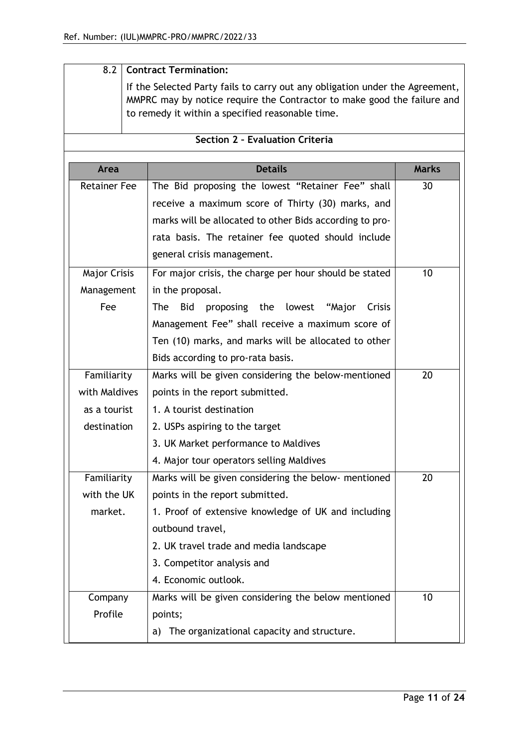| 8.2                 |                                                                                                                                                                                                             | <b>Contract Termination:</b>                               |    |
|---------------------|-------------------------------------------------------------------------------------------------------------------------------------------------------------------------------------------------------------|------------------------------------------------------------|----|
|                     | If the Selected Party fails to carry out any obligation under the Agreement,<br>MMPRC may by notice require the Contractor to make good the failure and<br>to remedy it within a specified reasonable time. |                                                            |    |
|                     |                                                                                                                                                                                                             | Section 2 - Evaluation Criteria                            |    |
| Area                | <b>Details</b><br><b>Marks</b>                                                                                                                                                                              |                                                            |    |
| <b>Retainer Fee</b> |                                                                                                                                                                                                             | The Bid proposing the lowest "Retainer Fee" shall          | 30 |
|                     |                                                                                                                                                                                                             | receive a maximum score of Thirty (30) marks, and          |    |
|                     |                                                                                                                                                                                                             | marks will be allocated to other Bids according to pro-    |    |
|                     |                                                                                                                                                                                                             | rata basis. The retainer fee quoted should include         |    |
|                     |                                                                                                                                                                                                             | general crisis management.                                 |    |
| <b>Major Crisis</b> |                                                                                                                                                                                                             | For major crisis, the charge per hour should be stated     | 10 |
| Management          |                                                                                                                                                                                                             | in the proposal.                                           |    |
| Fee                 |                                                                                                                                                                                                             | <b>The</b><br>proposing the lowest "Major<br>Crisis<br>Bid |    |
|                     |                                                                                                                                                                                                             | Management Fee" shall receive a maximum score of           |    |
|                     |                                                                                                                                                                                                             | Ten (10) marks, and marks will be allocated to other       |    |
|                     |                                                                                                                                                                                                             | Bids according to pro-rata basis.                          |    |
| Familiarity         |                                                                                                                                                                                                             | Marks will be given considering the below-mentioned        | 20 |
| with Maldives       |                                                                                                                                                                                                             | points in the report submitted.                            |    |
| as a tourist        |                                                                                                                                                                                                             | 1. A tourist destination                                   |    |
| destination         |                                                                                                                                                                                                             | 2. USPs aspiring to the target                             |    |
|                     |                                                                                                                                                                                                             | 3. UK Market performance to Maldives                       |    |
|                     |                                                                                                                                                                                                             | 4. Major tour operators selling Maldives                   |    |
| Familiarity         |                                                                                                                                                                                                             | Marks will be given considering the below- mentioned       | 20 |
| with the UK         |                                                                                                                                                                                                             | points in the report submitted.                            |    |
| market.             |                                                                                                                                                                                                             | 1. Proof of extensive knowledge of UK and including        |    |
|                     |                                                                                                                                                                                                             | outbound travel,                                           |    |
|                     |                                                                                                                                                                                                             | 2. UK travel trade and media landscape                     |    |
|                     |                                                                                                                                                                                                             | 3. Competitor analysis and                                 |    |
|                     |                                                                                                                                                                                                             | 4. Economic outlook.                                       |    |
| Company             |                                                                                                                                                                                                             | Marks will be given considering the below mentioned        | 10 |
| Profile             |                                                                                                                                                                                                             | points;                                                    |    |
|                     |                                                                                                                                                                                                             | The organizational capacity and structure.<br>a)           |    |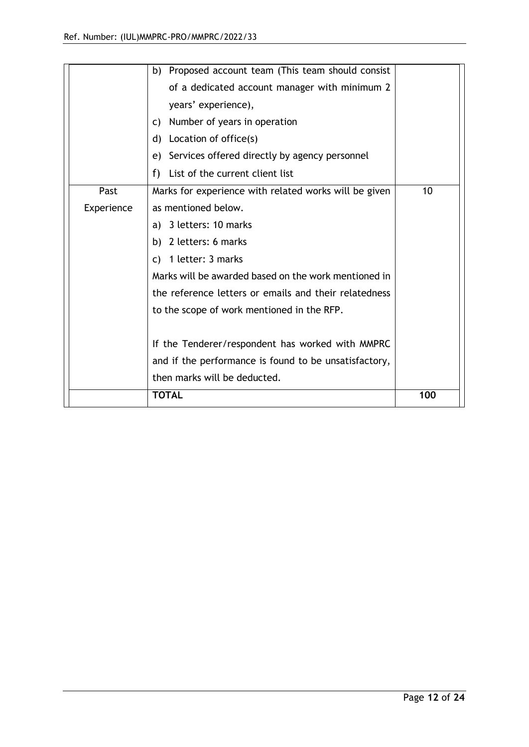|            | 3 letters: 10 marks<br>a)<br>2 letters: 6 marks<br>b).<br>c) 1 letter: 3 marks<br>Marks will be awarded based on the work mentioned in<br>the reference letters or emails and their relatedness<br>to the scope of work mentioned in the RFP.<br>If the Tenderer/respondent has worked with MMPRC<br>and if the performance is found to be unsatisfactory,<br>then marks will be deducted.<br><b>TOTAL</b> | 100 |
|------------|------------------------------------------------------------------------------------------------------------------------------------------------------------------------------------------------------------------------------------------------------------------------------------------------------------------------------------------------------------------------------------------------------------|-----|
| Experience | as mentioned below.                                                                                                                                                                                                                                                                                                                                                                                        |     |
| Past       | List of the current client list<br>f)<br>Marks for experience with related works will be given                                                                                                                                                                                                                                                                                                             | 10  |
|            | years' experience),<br>c) Number of years in operation<br>d) Location of office(s)<br>Services offered directly by agency personnel<br>e)                                                                                                                                                                                                                                                                  |     |
|            | b) Proposed account team (This team should consist<br>of a dedicated account manager with minimum 2                                                                                                                                                                                                                                                                                                        |     |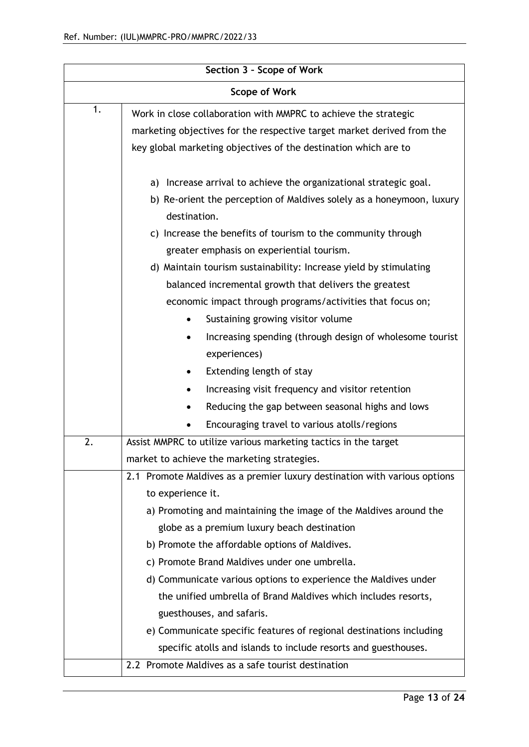| Section 3 - Scope of Work |                                                                           |  |
|---------------------------|---------------------------------------------------------------------------|--|
| <b>Scope of Work</b>      |                                                                           |  |
| 1.                        | Work in close collaboration with MMPRC to achieve the strategic           |  |
|                           | marketing objectives for the respective target market derived from the    |  |
|                           | key global marketing objectives of the destination which are to           |  |
|                           |                                                                           |  |
|                           | Increase arrival to achieve the organizational strategic goal.<br>a)      |  |
|                           | b) Re-orient the perception of Maldives solely as a honeymoon, luxury     |  |
|                           | destination.                                                              |  |
|                           | Increase the benefits of tourism to the community through<br>C)           |  |
|                           | greater emphasis on experiential tourism.                                 |  |
|                           | d) Maintain tourism sustainability: Increase yield by stimulating         |  |
|                           | balanced incremental growth that delivers the greatest                    |  |
|                           | economic impact through programs/activities that focus on;                |  |
|                           | Sustaining growing visitor volume<br>$\bullet$                            |  |
|                           | Increasing spending (through design of wholesome tourist                  |  |
|                           | experiences)                                                              |  |
|                           | Extending length of stay                                                  |  |
|                           | Increasing visit frequency and visitor retention                          |  |
|                           | Reducing the gap between seasonal highs and lows                          |  |
|                           | Encouraging travel to various atolls/regions                              |  |
| 2.                        | Assist MMPRC to utilize various marketing tactics in the target           |  |
|                           | market to achieve the marketing strategies.                               |  |
|                           | 2.1 Promote Maldives as a premier luxury destination with various options |  |
|                           | to experience it.                                                         |  |
|                           | a) Promoting and maintaining the image of the Maldives around the         |  |
|                           | globe as a premium luxury beach destination                               |  |
|                           | b) Promote the affordable options of Maldives.                            |  |
|                           | c) Promote Brand Maldives under one umbrella.                             |  |
|                           | d) Communicate various options to experience the Maldives under           |  |
|                           | the unified umbrella of Brand Maldives which includes resorts,            |  |
|                           | guesthouses, and safaris.                                                 |  |
|                           | e) Communicate specific features of regional destinations including       |  |
|                           | specific atolls and islands to include resorts and guesthouses.           |  |
|                           | 2.2 Promote Maldives as a safe tourist destination                        |  |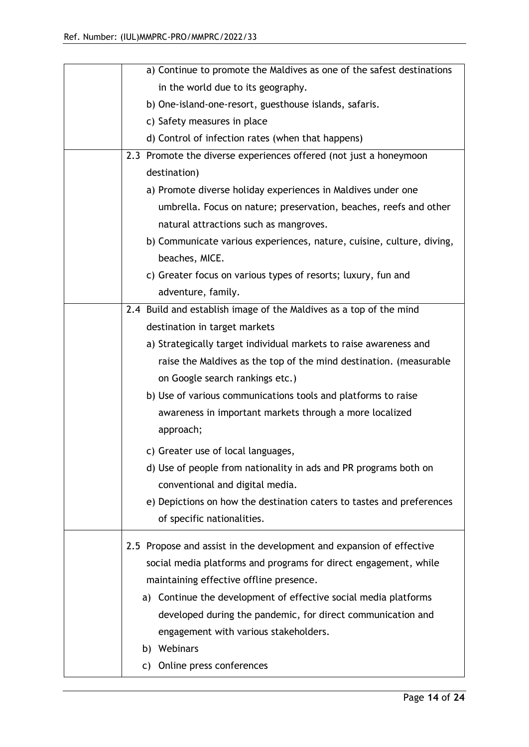| a) Continue to promote the Maldives as one of the safest destinations |
|-----------------------------------------------------------------------|
| in the world due to its geography.                                    |
| b) One-island-one-resort, guesthouse islands, safaris.                |
| c) Safety measures in place                                           |
| d) Control of infection rates (when that happens)                     |
| 2.3 Promote the diverse experiences offered (not just a honeymoon     |
| destination)                                                          |
| a) Promote diverse holiday experiences in Maldives under one          |
| umbrella. Focus on nature; preservation, beaches, reefs and other     |
| natural attractions such as mangroves.                                |
| b) Communicate various experiences, nature, cuisine, culture, diving, |
| beaches, MICE.                                                        |
| c) Greater focus on various types of resorts; luxury, fun and         |
| adventure, family.                                                    |
| 2.4 Build and establish image of the Maldives as a top of the mind    |
| destination in target markets                                         |
| a) Strategically target individual markets to raise awareness and     |
| raise the Maldives as the top of the mind destination. (measurable    |
| on Google search rankings etc.)                                       |
| b) Use of various communications tools and platforms to raise         |
| awareness in important markets through a more localized               |
| approach;                                                             |
| c) Greater use of local languages,                                    |
| d) Use of people from nationality in ads and PR programs both on      |
| conventional and digital media.                                       |
| e) Depictions on how the destination caters to tastes and preferences |
| of specific nationalities.                                            |
| 2.5 Propose and assist in the development and expansion of effective  |
| social media platforms and programs for direct engagement, while      |
| maintaining effective offline presence.                               |
| a) Continue the development of effective social media platforms       |
| developed during the pandemic, for direct communication and           |
| engagement with various stakeholders.                                 |
| b) Webinars                                                           |
| Online press conferences<br>C)                                        |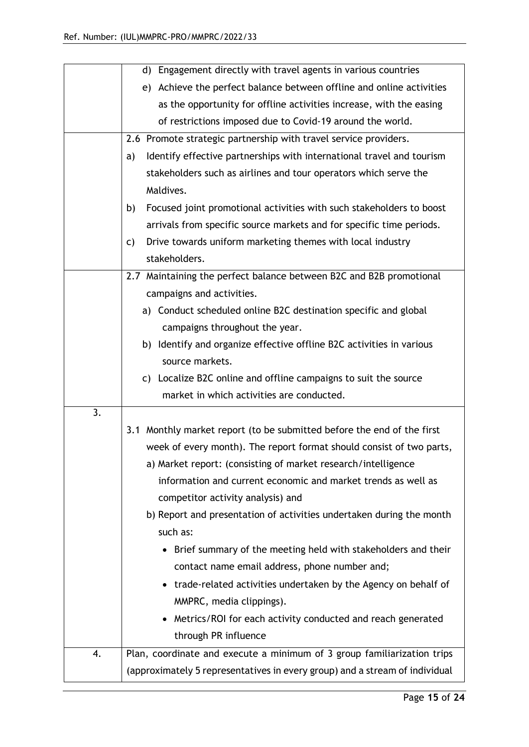|    | d) Engagement directly with travel agents in various countries              |
|----|-----------------------------------------------------------------------------|
|    | e) Achieve the perfect balance between offline and online activities        |
|    | as the opportunity for offline activities increase, with the easing         |
|    | of restrictions imposed due to Covid-19 around the world.                   |
|    | 2.6 Promote strategic partnership with travel service providers.            |
|    | Identify effective partnerships with international travel and tourism<br>a) |
|    | stakeholders such as airlines and tour operators which serve the            |
|    | Maldives.                                                                   |
|    | b)<br>Focused joint promotional activities with such stakeholders to boost  |
|    | arrivals from specific source markets and for specific time periods.        |
|    | Drive towards uniform marketing themes with local industry<br>C)            |
|    | stakeholders.                                                               |
|    | 2.7 Maintaining the perfect balance between B2C and B2B promotional         |
|    | campaigns and activities.                                                   |
|    | a) Conduct scheduled online B2C destination specific and global             |
|    | campaigns throughout the year.                                              |
|    | b) Identify and organize effective offline B2C activities in various        |
|    | source markets.                                                             |
|    | c) Localize B2C online and offline campaigns to suit the source             |
|    | market in which activities are conducted.                                   |
| 3. |                                                                             |
|    | 3.1 Monthly market report (to be submitted before the end of the first      |
|    | week of every month). The report format should consist of two parts,        |
|    | a) Market report: (consisting of market research/intelligence               |
|    | information and current economic and market trends as well as               |
|    | competitor activity analysis) and                                           |
|    | b) Report and presentation of activities undertaken during the month        |
|    | such as:                                                                    |
|    | Brief summary of the meeting held with stakeholders and their               |
|    | contact name email address, phone number and;                               |
|    | trade-related activities undertaken by the Agency on behalf of              |
|    | MMPRC, media clippings).                                                    |
|    | Metrics/ROI for each activity conducted and reach generated                 |
|    | through PR influence                                                        |
| 4. | Plan, coordinate and execute a minimum of 3 group familiarization trips     |
|    | (approximately 5 representatives in every group) and a stream of individual |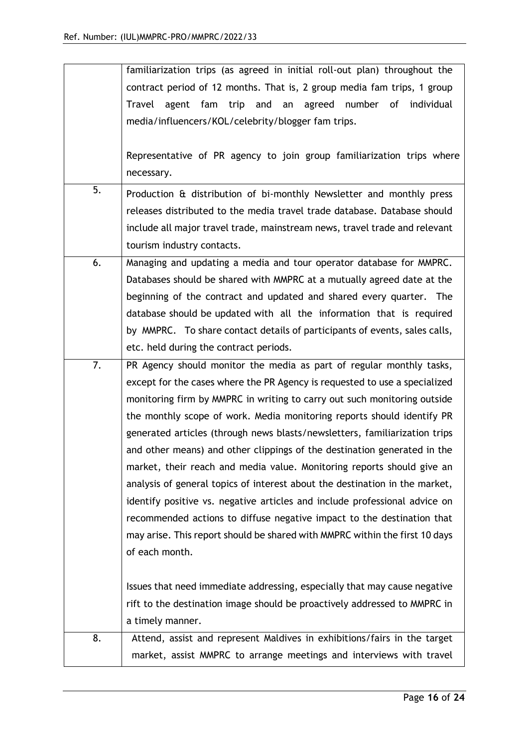|    | familiarization trips (as agreed in initial roll-out plan) throughout the   |
|----|-----------------------------------------------------------------------------|
|    | contract period of 12 months. That is, 2 group media fam trips, 1 group     |
|    | Travel agent fam trip and an agreed number of<br>individual                 |
|    | media/influencers/KOL/celebrity/blogger fam trips.                          |
|    |                                                                             |
|    | Representative of PR agency to join group familiarization trips where       |
|    | necessary.                                                                  |
| 5. |                                                                             |
|    | Production & distribution of bi-monthly Newsletter and monthly press        |
|    | releases distributed to the media travel trade database. Database should    |
|    | include all major travel trade, mainstream news, travel trade and relevant  |
|    | tourism industry contacts.                                                  |
| 6. | Managing and updating a media and tour operator database for MMPRC.         |
|    | Databases should be shared with MMPRC at a mutually agreed date at the      |
|    | beginning of the contract and updated and shared every quarter. The         |
|    | database should be updated with all the information that is required        |
|    | by MMPRC. To share contact details of participants of events, sales calls,  |
|    | etc. held during the contract periods.                                      |
| 7. | PR Agency should monitor the media as part of regular monthly tasks,        |
|    | except for the cases where the PR Agency is requested to use a specialized  |
|    | monitoring firm by MMPRC in writing to carry out such monitoring outside    |
|    | the monthly scope of work. Media monitoring reports should identify PR      |
|    | generated articles (through news blasts/newsletters, familiarization trips  |
|    | and other means) and other clippings of the destination generated in the    |
|    | market, their reach and media value. Monitoring reports should give an      |
|    | analysis of general topics of interest about the destination in the market, |
|    | identify positive vs. negative articles and include professional advice on  |
|    | recommended actions to diffuse negative impact to the destination that      |
|    | may arise. This report should be shared with MMPRC within the first 10 days |
|    | of each month.                                                              |
|    |                                                                             |
|    | Issues that need immediate addressing, especially that may cause negative   |
|    | rift to the destination image should be proactively addressed to MMPRC in   |
|    | a timely manner.                                                            |
| 8. | Attend, assist and represent Maldives in exhibitions/fairs in the target    |
|    | market, assist MMPRC to arrange meetings and interviews with travel         |
|    |                                                                             |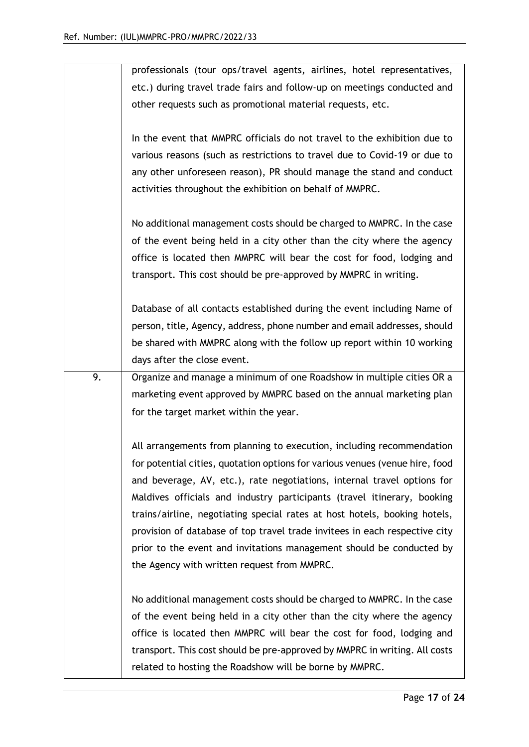|    | professionals (tour ops/travel agents, airlines, hotel representatives,      |
|----|------------------------------------------------------------------------------|
|    | etc.) during travel trade fairs and follow-up on meetings conducted and      |
|    | other requests such as promotional material requests, etc.                   |
|    |                                                                              |
|    | In the event that MMPRC officials do not travel to the exhibition due to     |
|    | various reasons (such as restrictions to travel due to Covid-19 or due to    |
|    | any other unforeseen reason), PR should manage the stand and conduct         |
|    | activities throughout the exhibition on behalf of MMPRC.                     |
|    |                                                                              |
|    | No additional management costs should be charged to MMPRC. In the case       |
|    | of the event being held in a city other than the city where the agency       |
|    | office is located then MMPRC will bear the cost for food, lodging and        |
|    | transport. This cost should be pre-approved by MMPRC in writing.             |
|    |                                                                              |
|    | Database of all contacts established during the event including Name of      |
|    | person, title, Agency, address, phone number and email addresses, should     |
|    | be shared with MMPRC along with the follow up report within 10 working       |
|    | days after the close event.                                                  |
| 9. | Organize and manage a minimum of one Roadshow in multiple cities OR a        |
|    | marketing event approved by MMPRC based on the annual marketing plan         |
|    | for the target market within the year.                                       |
|    |                                                                              |
|    | All arrangements from planning to execution, including recommendation        |
|    | for potential cities, quotation options for various venues (venue hire, food |
|    | and beverage, AV, etc.), rate negotiations, internal travel options for      |
|    | Maldives officials and industry participants (travel itinerary, booking      |
|    | trains/airline, negotiating special rates at host hotels, booking hotels,    |
|    | provision of database of top travel trade invitees in each respective city   |
|    | prior to the event and invitations management should be conducted by         |
|    | the Agency with written request from MMPRC.                                  |
|    |                                                                              |
|    | No additional management costs should be charged to MMPRC. In the case       |
|    | of the event being held in a city other than the city where the agency       |
|    |                                                                              |
|    | office is located then MMPRC will bear the cost for food, lodging and        |
|    | transport. This cost should be pre-approved by MMPRC in writing. All costs   |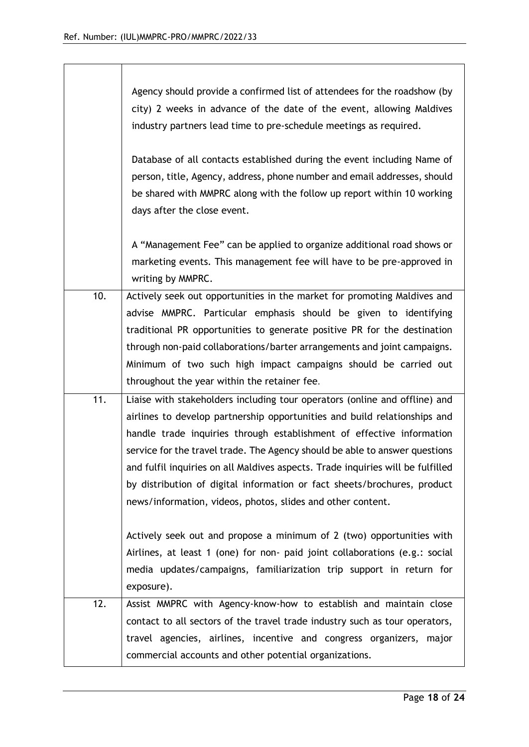|     | Agency should provide a confirmed list of attendees for the roadshow (by<br>city) 2 weeks in advance of the date of the event, allowing Maldives<br>industry partners lead time to pre-schedule meetings as required.                                                                                                                                                                                                                                                                                                                         |
|-----|-----------------------------------------------------------------------------------------------------------------------------------------------------------------------------------------------------------------------------------------------------------------------------------------------------------------------------------------------------------------------------------------------------------------------------------------------------------------------------------------------------------------------------------------------|
|     | Database of all contacts established during the event including Name of<br>person, title, Agency, address, phone number and email addresses, should<br>be shared with MMPRC along with the follow up report within 10 working<br>days after the close event.                                                                                                                                                                                                                                                                                  |
|     | A "Management Fee" can be applied to organize additional road shows or<br>marketing events. This management fee will have to be pre-approved in<br>writing by MMPRC.                                                                                                                                                                                                                                                                                                                                                                          |
| 10. | Actively seek out opportunities in the market for promoting Maldives and<br>advise MMPRC. Particular emphasis should be given to identifying<br>traditional PR opportunities to generate positive PR for the destination<br>through non-paid collaborations/barter arrangements and joint campaigns.<br>Minimum of two such high impact campaigns should be carried out<br>throughout the year within the retainer fee.                                                                                                                       |
| 11. | Liaise with stakeholders including tour operators (online and offline) and<br>airlines to develop partnership opportunities and build relationships and<br>handle trade inquiries through establishment of effective information<br>service for the travel trade. The Agency should be able to answer questions<br>and fulfil inquiries on all Maldives aspects. Trade inquiries will be fulfilled<br>by distribution of digital information or fact sheets/brochures, product<br>news/information, videos, photos, slides and other content. |
|     | Actively seek out and propose a minimum of 2 (two) opportunities with<br>Airlines, at least 1 (one) for non- paid joint collaborations (e.g.: social<br>media updates/campaigns, familiarization trip support in return for<br>exposure).                                                                                                                                                                                                                                                                                                     |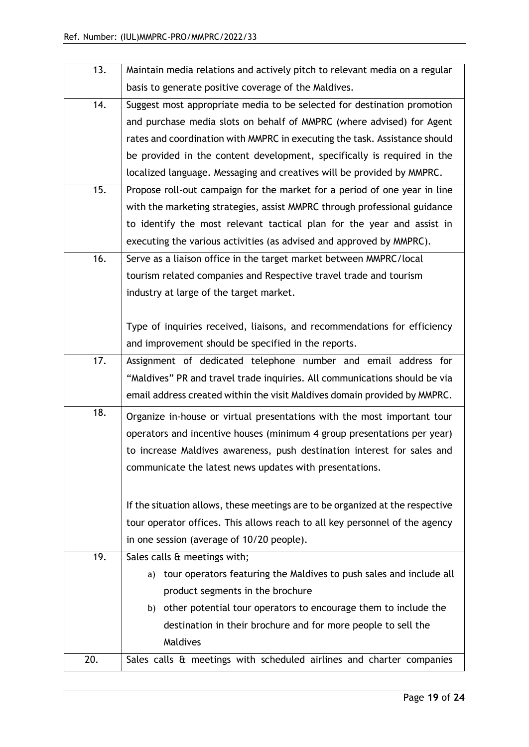| 13. | Maintain media relations and actively pitch to relevant media on a regular    |
|-----|-------------------------------------------------------------------------------|
|     | basis to generate positive coverage of the Maldives.                          |
| 14. | Suggest most appropriate media to be selected for destination promotion       |
|     | and purchase media slots on behalf of MMPRC (where advised) for Agent         |
|     | rates and coordination with MMPRC in executing the task. Assistance should    |
|     | be provided in the content development, specifically is required in the       |
|     | localized language. Messaging and creatives will be provided by MMPRC.        |
| 15. | Propose roll-out campaign for the market for a period of one year in line     |
|     | with the marketing strategies, assist MMPRC through professional guidance     |
|     | to identify the most relevant tactical plan for the year and assist in        |
|     | executing the various activities (as advised and approved by MMPRC).          |
| 16. | Serve as a liaison office in the target market between MMPRC/local            |
|     | tourism related companies and Respective travel trade and tourism             |
|     | industry at large of the target market.                                       |
|     |                                                                               |
|     | Type of inquiries received, liaisons, and recommendations for efficiency      |
|     | and improvement should be specified in the reports.                           |
| 17. | Assignment of dedicated telephone number and email address for                |
|     | "Maldives" PR and travel trade inquiries. All communications should be via    |
|     | email address created within the visit Maldives domain provided by MMPRC.     |
| 18. | Organize in-house or virtual presentations with the most important tour       |
|     | operators and incentive houses (minimum 4 group presentations per year)       |
|     | to increase Maldives awareness, push destination interest for sales and       |
|     | communicate the latest news updates with presentations.                       |
|     |                                                                               |
|     | If the situation allows, these meetings are to be organized at the respective |
|     | tour operator offices. This allows reach to all key personnel of the agency   |
|     | in one session (average of 10/20 people).                                     |
| 19. | Sales calls & meetings with;                                                  |
|     | tour operators featuring the Maldives to push sales and include all<br>a)     |
|     | product segments in the brochure                                              |
|     | b) other potential tour operators to encourage them to include the            |
|     | destination in their brochure and for more people to sell the                 |
|     | Maldives                                                                      |
| 20. | Sales calls & meetings with scheduled airlines and charter companies          |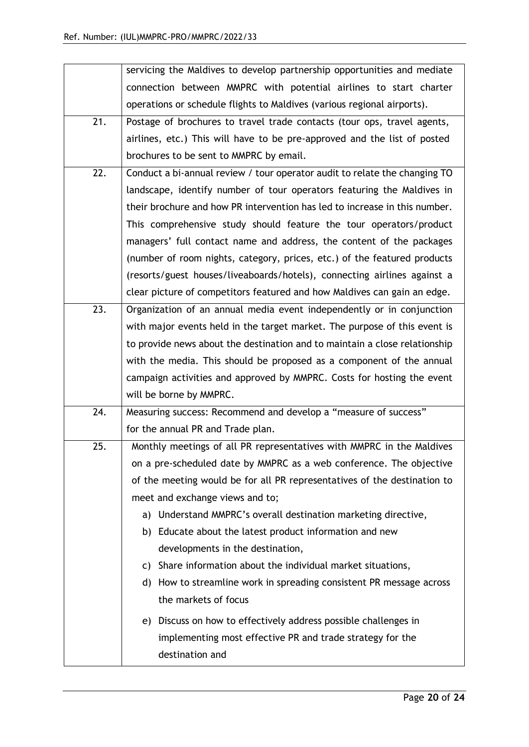|     | servicing the Maldives to develop partnership opportunities and mediate    |
|-----|----------------------------------------------------------------------------|
|     | connection between MMPRC with potential airlines to start charter          |
|     | operations or schedule flights to Maldives (various regional airports).    |
| 21. | Postage of brochures to travel trade contacts (tour ops, travel agents,    |
|     | airlines, etc.) This will have to be pre-approved and the list of posted   |
|     | brochures to be sent to MMPRC by email.                                    |
| 22. | Conduct a bi-annual review / tour operator audit to relate the changing TO |
|     | landscape, identify number of tour operators featuring the Maldives in     |
|     | their brochure and how PR intervention has led to increase in this number. |
|     | This comprehensive study should feature the tour operators/product         |
|     | managers' full contact name and address, the content of the packages       |
|     | (number of room nights, category, prices, etc.) of the featured products   |
|     | (resorts/guest houses/liveaboards/hotels), connecting airlines against a   |
|     | clear picture of competitors featured and how Maldives can gain an edge.   |
| 23. | Organization of an annual media event independently or in conjunction      |
|     | with major events held in the target market. The purpose of this event is  |
|     | to provide news about the destination and to maintain a close relationship |
|     | with the media. This should be proposed as a component of the annual       |
|     | campaign activities and approved by MMPRC. Costs for hosting the event     |
|     | will be borne by MMPRC.                                                    |
| 24. | Measuring success: Recommend and develop a "measure of success"            |
|     | for the annual PR and Trade plan.                                          |
| 25. | Monthly meetings of all PR representatives with MMPRC in the Maldives      |
|     | on a pre-scheduled date by MMPRC as a web conference. The objective        |
|     | of the meeting would be for all PR representatives of the destination to   |
|     | meet and exchange views and to;                                            |
|     | a) Understand MMPRC's overall destination marketing directive,             |
|     | b) Educate about the latest product information and new                    |
|     | developments in the destination,                                           |
|     | c) Share information about the individual market situations,               |
|     | d) How to streamline work in spreading consistent PR message across        |
|     | the markets of focus                                                       |
|     | e) Discuss on how to effectively address possible challenges in            |
|     | implementing most effective PR and trade strategy for the                  |
|     | destination and                                                            |
|     |                                                                            |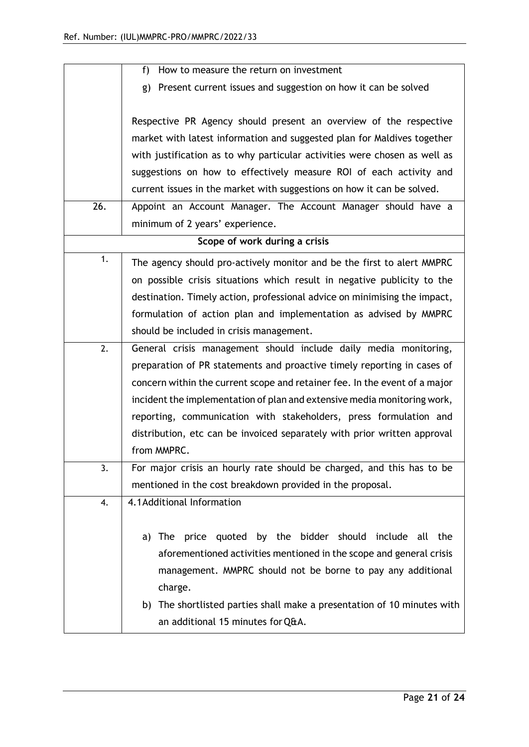|     | How to measure the return on investment<br>f)                              |
|-----|----------------------------------------------------------------------------|
|     | Present current issues and suggestion on how it can be solved<br>g)        |
|     |                                                                            |
|     | Respective PR Agency should present an overview of the respective          |
|     | market with latest information and suggested plan for Maldives together    |
|     | with justification as to why particular activities were chosen as well as  |
|     | suggestions on how to effectively measure ROI of each activity and         |
|     | current issues in the market with suggestions on how it can be solved.     |
| 26. | Appoint an Account Manager. The Account Manager should have a              |
|     | minimum of 2 years' experience.                                            |
|     | Scope of work during a crisis                                              |
| 1.  | The agency should pro-actively monitor and be the first to alert MMPRC     |
|     | on possible crisis situations which result in negative publicity to the    |
|     | destination. Timely action, professional advice on minimising the impact,  |
|     | formulation of action plan and implementation as advised by MMPRC          |
|     | should be included in crisis management.                                   |
| 2.  | General crisis management should include daily media monitoring,           |
|     | preparation of PR statements and proactive timely reporting in cases of    |
|     | concern within the current scope and retainer fee. In the event of a major |
|     | incident the implementation of plan and extensive media monitoring work,   |
|     | reporting, communication with stakeholders, press formulation and          |
|     | distribution, etc can be invoiced separately with prior written approval   |
|     | from MMPRC.                                                                |
| 3.  | For major crisis an hourly rate should be charged, and this has to be      |
|     | mentioned in the cost breakdown provided in the proposal.                  |
| 4.  | 4.1 Additional Information                                                 |
|     |                                                                            |
|     | quoted by the bidder should include all<br>the<br>The<br>price<br>a)       |
|     | aforementioned activities mentioned in the scope and general crisis        |
|     | management. MMPRC should not be borne to pay any additional                |
|     | charge.                                                                    |
|     | b) The shortlisted parties shall make a presentation of 10 minutes with    |
|     | an additional 15 minutes for Q&A.                                          |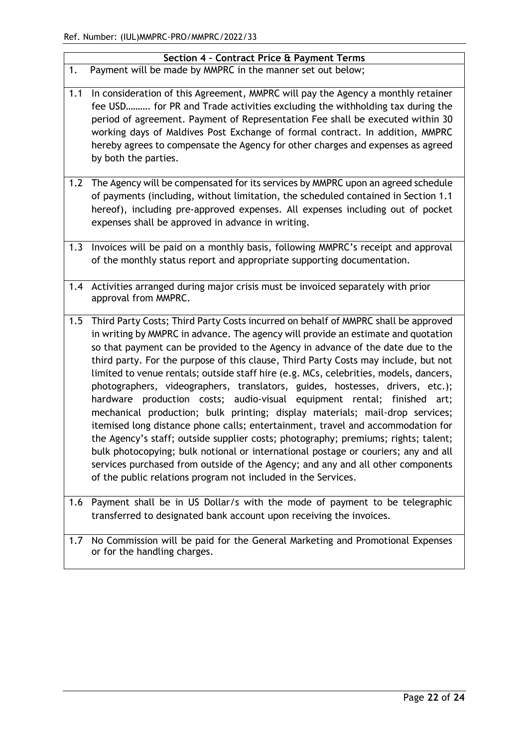|     | Section 4 - Contract Price & Payment Terms                                                                                                                                                                                                                                                                                                                                                                                                                                                                                                                                                                                                                                                                                                                                                                                                                                                                                                                                                                                                                                                                |
|-----|-----------------------------------------------------------------------------------------------------------------------------------------------------------------------------------------------------------------------------------------------------------------------------------------------------------------------------------------------------------------------------------------------------------------------------------------------------------------------------------------------------------------------------------------------------------------------------------------------------------------------------------------------------------------------------------------------------------------------------------------------------------------------------------------------------------------------------------------------------------------------------------------------------------------------------------------------------------------------------------------------------------------------------------------------------------------------------------------------------------|
| 1.  | Payment will be made by MMPRC in the manner set out below;                                                                                                                                                                                                                                                                                                                                                                                                                                                                                                                                                                                                                                                                                                                                                                                                                                                                                                                                                                                                                                                |
| 1.1 | In consideration of this Agreement, MMPRC will pay the Agency a monthly retainer<br>fee USD for PR and Trade activities excluding the withholding tax during the<br>period of agreement. Payment of Representation Fee shall be executed within 30<br>working days of Maldives Post Exchange of formal contract. In addition, MMPRC<br>hereby agrees to compensate the Agency for other charges and expenses as agreed<br>by both the parties.                                                                                                                                                                                                                                                                                                                                                                                                                                                                                                                                                                                                                                                            |
| 1.2 | The Agency will be compensated for its services by MMPRC upon an agreed schedule<br>of payments (including, without limitation, the scheduled contained in Section 1.1<br>hereof), including pre-approved expenses. All expenses including out of pocket<br>expenses shall be approved in advance in writing.                                                                                                                                                                                                                                                                                                                                                                                                                                                                                                                                                                                                                                                                                                                                                                                             |
| 1.3 | Invoices will be paid on a monthly basis, following MMPRC's receipt and approval<br>of the monthly status report and appropriate supporting documentation.                                                                                                                                                                                                                                                                                                                                                                                                                                                                                                                                                                                                                                                                                                                                                                                                                                                                                                                                                |
| 1.4 | Activities arranged during major crisis must be invoiced separately with prior<br>approval from MMPRC.                                                                                                                                                                                                                                                                                                                                                                                                                                                                                                                                                                                                                                                                                                                                                                                                                                                                                                                                                                                                    |
| 1.5 | Third Party Costs; Third Party Costs incurred on behalf of MMPRC shall be approved<br>in writing by MMPRC in advance. The agency will provide an estimate and quotation<br>so that payment can be provided to the Agency in advance of the date due to the<br>third party. For the purpose of this clause, Third Party Costs may include, but not<br>limited to venue rentals; outside staff hire (e.g. MCs, celebrities, models, dancers,<br>photographers, videographers, translators, guides, hostesses, drivers, etc.);<br>hardware production costs; audio-visual equipment rental; finished art;<br>mechanical production; bulk printing; display materials; mail-drop services;<br>itemised long distance phone calls; entertainment, travel and accommodation for<br>the Agency's staff; outside supplier costs; photography; premiums; rights; talent;<br>bulk photocopying; bulk notional or international postage or couriers; any and all<br>services purchased from outside of the Agency; and any and all other components<br>of the public relations program not included in the Services. |
| 1.6 | Payment shall be in US Dollar/s with the mode of payment to be telegraphic<br>transferred to designated bank account upon receiving the invoices.                                                                                                                                                                                                                                                                                                                                                                                                                                                                                                                                                                                                                                                                                                                                                                                                                                                                                                                                                         |
| 1.7 | No Commission will be paid for the General Marketing and Promotional Expenses<br>or for the handling charges.                                                                                                                                                                                                                                                                                                                                                                                                                                                                                                                                                                                                                                                                                                                                                                                                                                                                                                                                                                                             |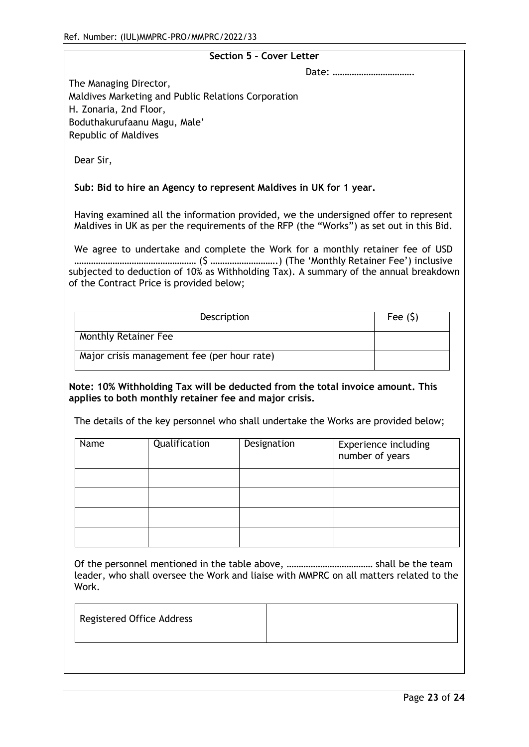|                                                                                  |                                                     | <b>Section 5 - Cover Letter</b>                                                                                                                                                |       |                                                |
|----------------------------------------------------------------------------------|-----------------------------------------------------|--------------------------------------------------------------------------------------------------------------------------------------------------------------------------------|-------|------------------------------------------------|
|                                                                                  |                                                     |                                                                                                                                                                                | Date: |                                                |
| The Managing Director,<br>H. Zonaria, 2nd Floor,<br>Boduthakurufaanu Magu, Male' | Maldives Marketing and Public Relations Corporation |                                                                                                                                                                                |       |                                                |
| Republic of Maldives                                                             |                                                     |                                                                                                                                                                                |       |                                                |
| Dear Sir,                                                                        |                                                     |                                                                                                                                                                                |       |                                                |
|                                                                                  |                                                     | Sub: Bid to hire an Agency to represent Maldives in UK for 1 year.                                                                                                             |       |                                                |
|                                                                                  |                                                     | Having examined all the information provided, we the undersigned offer to represent<br>Maldives in UK as per the requirements of the RFP (the "Works") as set out in this Bid. |       |                                                |
|                                                                                  |                                                     | We agree to undertake and complete the Work for a monthly retainer fee of USD                                                                                                  |       |                                                |
|                                                                                  | of the Contract Price is provided below;            | subjected to deduction of 10% as Withholding Tax). A summary of the annual breakdown                                                                                           |       |                                                |
|                                                                                  | Description                                         |                                                                                                                                                                                |       | Fee $(5)$                                      |
| <b>Monthly Retainer Fee</b>                                                      |                                                     |                                                                                                                                                                                |       |                                                |
|                                                                                  | Major crisis management fee (per hour rate)         |                                                                                                                                                                                |       |                                                |
|                                                                                  |                                                     |                                                                                                                                                                                |       |                                                |
|                                                                                  |                                                     | Note: 10% Withholding Tax will be deducted from the total invoice amount. This<br>applies to both monthly retainer fee and major crisis.                                       |       |                                                |
|                                                                                  |                                                     | The details of the key personnel who shall undertake the Works are provided below;                                                                                             |       |                                                |
| Name                                                                             | Qualification                                       | Designation                                                                                                                                                                    |       | <b>Experience including</b><br>number of years |
|                                                                                  |                                                     |                                                                                                                                                                                |       |                                                |
|                                                                                  |                                                     |                                                                                                                                                                                |       |                                                |
|                                                                                  |                                                     |                                                                                                                                                                                |       |                                                |
|                                                                                  |                                                     |                                                                                                                                                                                |       |                                                |
|                                                                                  |                                                     |                                                                                                                                                                                |       |                                                |
| Work.                                                                            |                                                     | leader, who shall oversee the Work and liaise with MMPRC on all matters related to the                                                                                         |       |                                                |
| <b>Registered Office Address</b>                                                 |                                                     |                                                                                                                                                                                |       |                                                |
|                                                                                  |                                                     |                                                                                                                                                                                |       |                                                |